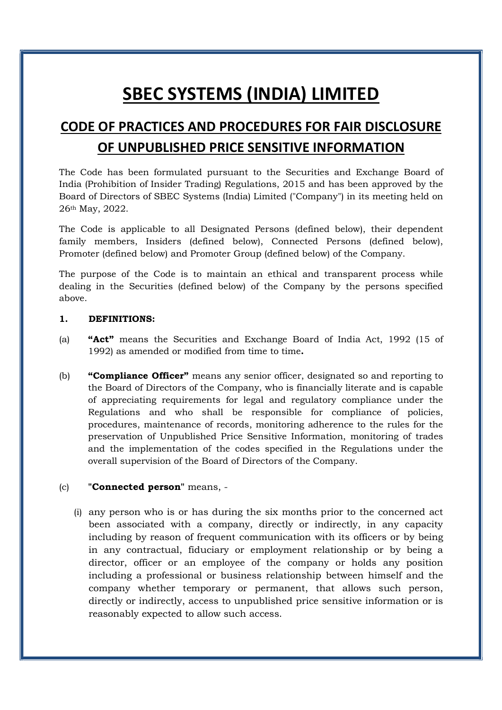# SBEC SYSTEMS (INDIA) LIMITED

## CODE OF PRACTICES AND PROCEDURES FOR FAIR DISCLOSURE OF UNPUBLISHED PRICE SENSITIVE INFORMATION

The Code has been formulated pursuant to the Securities and Exchange Board of India (Prohibition of Insider Trading) Regulations, 2015 and has been approved by the Board of Directors of SBEC Systems (India) Limited ("Company") in its meeting held on 26th May, 2022.

The Code is applicable to all Designated Persons (defined below), their dependent family members, Insiders (defined below), Connected Persons (defined below), Promoter (defined below) and Promoter Group (defined below) of the Company.

The purpose of the Code is to maintain an ethical and transparent process while dealing in the Securities (defined below) of the Company by the persons specified above.

#### 1. DEFINITIONS:

- (a) "Act" means the Securities and Exchange Board of India Act, 1992 (15 of 1992) as amended or modified from time to time.
- (b) **"Compliance Officer"** means any senior officer, designated so and reporting to the Board of Directors of the Company, who is financially literate and is capable of appreciating requirements for legal and regulatory compliance under the Regulations and who shall be responsible for compliance of policies, procedures, maintenance of records, monitoring adherence to the rules for the preservation of Unpublished Price Sensitive Information, monitoring of trades and the implementation of the codes specified in the Regulations under the overall supervision of the Board of Directors of the Company.

#### (c) "Connected person" means, -

(i) any person who is or has during the six months prior to the concerned act been associated with a company, directly or indirectly, in any capacity including by reason of frequent communication with its officers or by being in any contractual, fiduciary or employment relationship or by being a director, officer or an employee of the company or holds any position including a professional or business relationship between himself and the company whether temporary or permanent, that allows such person, directly or indirectly, access to unpublished price sensitive information or is reasonably expected to allow such access.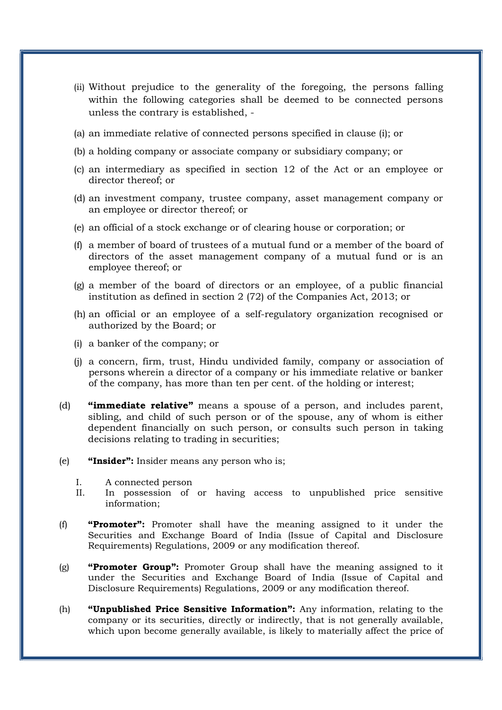- (ii) Without prejudice to the generality of the foregoing, the persons falling within the following categories shall be deemed to be connected persons unless the contrary is established, -
- (a) an immediate relative of connected persons specified in clause (i); or
- (b) a holding company or associate company or subsidiary company; or
- (c) an intermediary as specified in section 12 of the Act or an employee or director thereof; or
- (d) an investment company, trustee company, asset management company or an employee or director thereof; or
- (e) an official of a stock exchange or of clearing house or corporation; or
- (f) a member of board of trustees of a mutual fund or a member of the board of directors of the asset management company of a mutual fund or is an employee thereof; or
- (g) a member of the board of directors or an employee, of a public financial institution as defined in section 2 (72) of the Companies Act, 2013; or
- (h) an official or an employee of a self-regulatory organization recognised or authorized by the Board; or
- (i) a banker of the company; or
- (j) a concern, firm, trust, Hindu undivided family, company or association of persons wherein a director of a company or his immediate relative or banker of the company, has more than ten per cent. of the holding or interest;
- (d) **"immediate relative"** means a spouse of a person, and includes parent, sibling, and child of such person or of the spouse, any of whom is either dependent financially on such person, or consults such person in taking decisions relating to trading in securities;
- (e) "Insider": Insider means any person who is;
	- I. A connected person
	- II. In possession of or having access to unpublished price sensitive information;
- (f) "Promoter": Promoter shall have the meaning assigned to it under the Securities and Exchange Board of India (Issue of Capital and Disclosure Requirements) Regulations, 2009 or any modification thereof.
- (g) **"Promoter Group":** Promoter Group shall have the meaning assigned to it under the Securities and Exchange Board of India (Issue of Capital and Disclosure Requirements) Regulations, 2009 or any modification thereof.
- (h) **"Unpublished Price Sensitive Information":** Any information, relating to the company or its securities, directly or indirectly, that is not generally available, which upon become generally available, is likely to materially affect the price of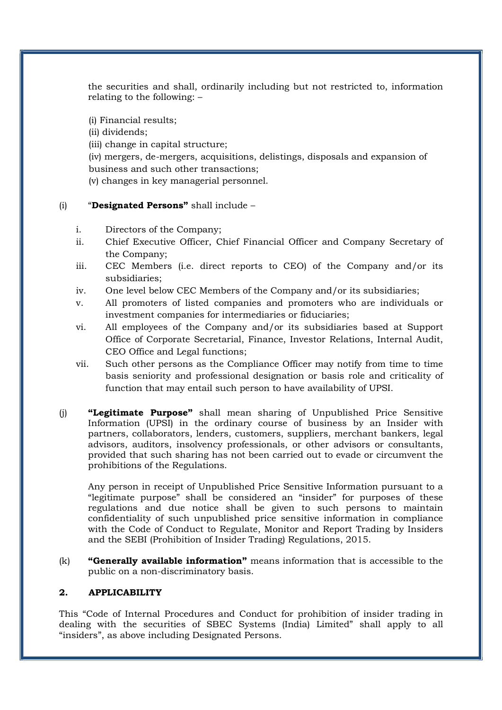the securities and shall, ordinarily including but not restricted to, information relating to the following: –

(i) Financial results;

(ii) dividends;

(iii) change in capital structure;

(iv) mergers, de-mergers, acquisitions, delistings, disposals and expansion of business and such other transactions;

(v) changes in key managerial personnel.

#### (i) "Designated Persons" shall include –

- i. Directors of the Company;
- ii. Chief Executive Officer, Chief Financial Officer and Company Secretary of the Company;
- iii. CEC Members (i.e. direct reports to CEO) of the Company and/or its subsidiaries;
- iv. One level below CEC Members of the Company and/or its subsidiaries;
- v. All promoters of listed companies and promoters who are individuals or investment companies for intermediaries or fiduciaries;
- vi. All employees of the Company and/or its subsidiaries based at Support Office of Corporate Secretarial, Finance, Investor Relations, Internal Audit, CEO Office and Legal functions;
- vii. Such other persons as the Compliance Officer may notify from time to time basis seniority and professional designation or basis role and criticality of function that may entail such person to have availability of UPSI.
- (j) "Legitimate Purpose" shall mean sharing of Unpublished Price Sensitive Information (UPSI) in the ordinary course of business by an Insider with partners, collaborators, lenders, customers, suppliers, merchant bankers, legal advisors, auditors, insolvency professionals, or other advisors or consultants, provided that such sharing has not been carried out to evade or circumvent the prohibitions of the Regulations.

Any person in receipt of Unpublished Price Sensitive Information pursuant to a "legitimate purpose" shall be considered an "insider" for purposes of these regulations and due notice shall be given to such persons to maintain confidentiality of such unpublished price sensitive information in compliance with the Code of Conduct to Regulate, Monitor and Report Trading by Insiders and the SEBI (Prohibition of Insider Trading) Regulations, 2015.

 $(k)$  "Generally available information" means information that is accessible to the public on a non-discriminatory basis.

#### 2. APPLICABILITY

This "Code of Internal Procedures and Conduct for prohibition of insider trading in dealing with the securities of SBEC Systems (India) Limited" shall apply to all "insiders", as above including Designated Persons.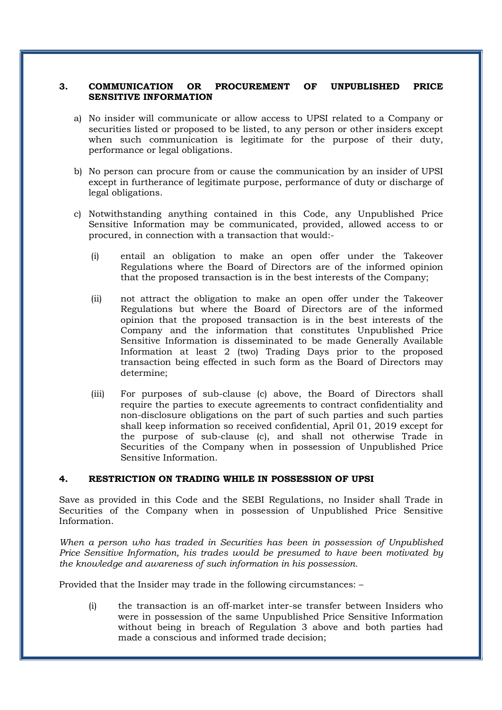#### 3. COMMUNICATION OR PROCUREMENT OF UNPUBLISHED PRICE SENSITIVE INFORMATION

- a) No insider will communicate or allow access to UPSI related to a Company or securities listed or proposed to be listed, to any person or other insiders except when such communication is legitimate for the purpose of their duty, performance or legal obligations.
- b) No person can procure from or cause the communication by an insider of UPSI except in furtherance of legitimate purpose, performance of duty or discharge of legal obligations.
- c) Notwithstanding anything contained in this Code, any Unpublished Price Sensitive Information may be communicated, provided, allowed access to or procured, in connection with a transaction that would:-
	- (i) entail an obligation to make an open offer under the Takeover Regulations where the Board of Directors are of the informed opinion that the proposed transaction is in the best interests of the Company;
	- (ii) not attract the obligation to make an open offer under the Takeover Regulations but where the Board of Directors are of the informed opinion that the proposed transaction is in the best interests of the Company and the information that constitutes Unpublished Price Sensitive Information is disseminated to be made Generally Available Information at least 2 (two) Trading Days prior to the proposed transaction being effected in such form as the Board of Directors may determine;
	- (iii) For purposes of sub-clause (c) above, the Board of Directors shall require the parties to execute agreements to contract confidentiality and non-disclosure obligations on the part of such parties and such parties shall keep information so received confidential, April 01, 2019 except for the purpose of sub-clause (c), and shall not otherwise Trade in Securities of the Company when in possession of Unpublished Price Sensitive Information.

#### 4. RESTRICTION ON TRADING WHILE IN POSSESSION OF UPSI

Save as provided in this Code and the SEBI Regulations, no Insider shall Trade in Securities of the Company when in possession of Unpublished Price Sensitive Information.

When a person who has traded in Securities has been in possession of Unpublished Price Sensitive Information, his trades would be presumed to have been motivated by the knowledge and awareness of such information in his possession.

Provided that the Insider may trade in the following circumstances: –

(i) the transaction is an off-market inter-se transfer between Insiders who were in possession of the same Unpublished Price Sensitive Information without being in breach of Regulation 3 above and both parties had made a conscious and informed trade decision;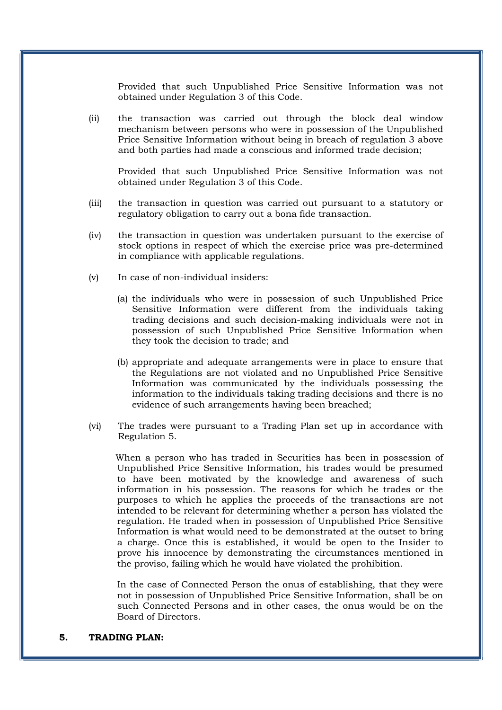Provided that such Unpublished Price Sensitive Information was not obtained under Regulation 3 of this Code.

(ii) the transaction was carried out through the block deal window mechanism between persons who were in possession of the Unpublished Price Sensitive Information without being in breach of regulation 3 above and both parties had made a conscious and informed trade decision;

Provided that such Unpublished Price Sensitive Information was not obtained under Regulation 3 of this Code.

- (iii) the transaction in question was carried out pursuant to a statutory or regulatory obligation to carry out a bona fide transaction.
- (iv) the transaction in question was undertaken pursuant to the exercise of stock options in respect of which the exercise price was pre-determined in compliance with applicable regulations.
- (v) In case of non-individual insiders:
	- (a) the individuals who were in possession of such Unpublished Price Sensitive Information were different from the individuals taking trading decisions and such decision-making individuals were not in possession of such Unpublished Price Sensitive Information when they took the decision to trade; and
	- (b) appropriate and adequate arrangements were in place to ensure that the Regulations are not violated and no Unpublished Price Sensitive Information was communicated by the individuals possessing the information to the individuals taking trading decisions and there is no evidence of such arrangements having been breached;
- (vi) The trades were pursuant to a Trading Plan set up in accordance with Regulation 5.

 When a person who has traded in Securities has been in possession of Unpublished Price Sensitive Information, his trades would be presumed to have been motivated by the knowledge and awareness of such information in his possession. The reasons for which he trades or the purposes to which he applies the proceeds of the transactions are not intended to be relevant for determining whether a person has violated the regulation. He traded when in possession of Unpublished Price Sensitive Information is what would need to be demonstrated at the outset to bring a charge. Once this is established, it would be open to the Insider to prove his innocence by demonstrating the circumstances mentioned in the proviso, failing which he would have violated the prohibition.

In the case of Connected Person the onus of establishing, that they were not in possession of Unpublished Price Sensitive Information, shall be on such Connected Persons and in other cases, the onus would be on the Board of Directors.

#### 5. TRADING PLAN: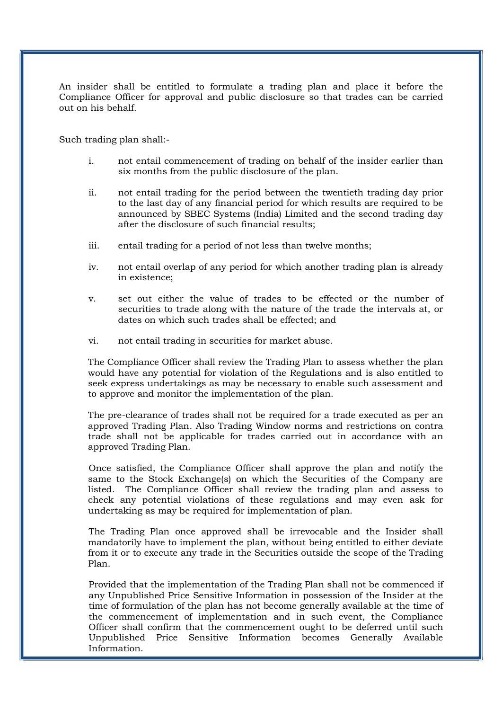An insider shall be entitled to formulate a trading plan and place it before the Compliance Officer for approval and public disclosure so that trades can be carried out on his behalf.

Such trading plan shall:-

- i. not entail commencement of trading on behalf of the insider earlier than six months from the public disclosure of the plan.
- ii. not entail trading for the period between the twentieth trading day prior to the last day of any financial period for which results are required to be announced by SBEC Systems (India) Limited and the second trading day after the disclosure of such financial results;
- iii. entail trading for a period of not less than twelve months;
- iv. not entail overlap of any period for which another trading plan is already in existence;
- v. set out either the value of trades to be effected or the number of securities to trade along with the nature of the trade the intervals at, or dates on which such trades shall be effected; and
- vi. not entail trading in securities for market abuse.

The Compliance Officer shall review the Trading Plan to assess whether the plan would have any potential for violation of the Regulations and is also entitled to seek express undertakings as may be necessary to enable such assessment and to approve and monitor the implementation of the plan.

The pre-clearance of trades shall not be required for a trade executed as per an approved Trading Plan. Also Trading Window norms and restrictions on contra trade shall not be applicable for trades carried out in accordance with an approved Trading Plan.

Once satisfied, the Compliance Officer shall approve the plan and notify the same to the Stock Exchange(s) on which the Securities of the Company are listed. The Compliance Officer shall review the trading plan and assess to check any potential violations of these regulations and may even ask for undertaking as may be required for implementation of plan.

The Trading Plan once approved shall be irrevocable and the Insider shall mandatorily have to implement the plan, without being entitled to either deviate from it or to execute any trade in the Securities outside the scope of the Trading Plan.

Provided that the implementation of the Trading Plan shall not be commenced if any Unpublished Price Sensitive Information in possession of the Insider at the time of formulation of the plan has not become generally available at the time of the commencement of implementation and in such event, the Compliance Officer shall confirm that the commencement ought to be deferred until such Unpublished Price Sensitive Information becomes Generally Available Information.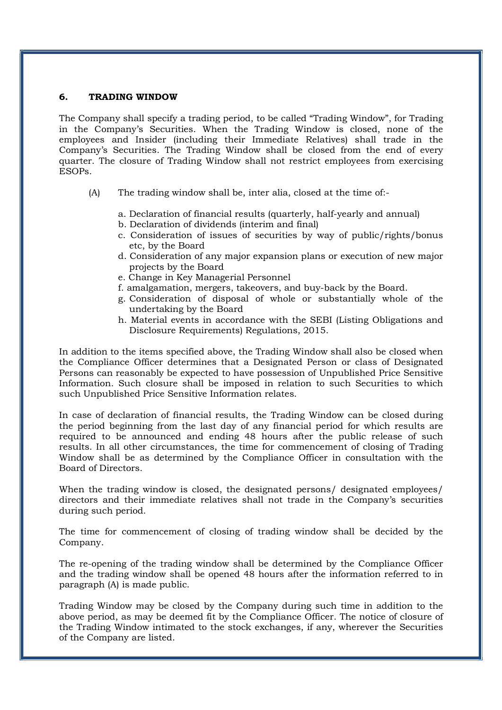#### 6. TRADING WINDOW

The Company shall specify a trading period, to be called "Trading Window", for Trading in the Company's Securities. When the Trading Window is closed, none of the employees and Insider (including their Immediate Relatives) shall trade in the Company's Securities. The Trading Window shall be closed from the end of every quarter. The closure of Trading Window shall not restrict employees from exercising ESOPs.

- (A) The trading window shall be, inter alia, closed at the time of:
	- a. Declaration of financial results (quarterly, half-yearly and annual)
	- b. Declaration of dividends (interim and final)
	- c. Consideration of issues of securities by way of public/rights/bonus etc, by the Board
	- d. Consideration of any major expansion plans or execution of new major projects by the Board
	- e. Change in Key Managerial Personnel
	- f. amalgamation, mergers, takeovers, and buy-back by the Board.
	- g. Consideration of disposal of whole or substantially whole of the undertaking by the Board
	- h. Material events in accordance with the SEBI (Listing Obligations and Disclosure Requirements) Regulations, 2015.

In addition to the items specified above, the Trading Window shall also be closed when the Compliance Officer determines that a Designated Person or class of Designated Persons can reasonably be expected to have possession of Unpublished Price Sensitive Information. Such closure shall be imposed in relation to such Securities to which such Unpublished Price Sensitive Information relates.

In case of declaration of financial results, the Trading Window can be closed during the period beginning from the last day of any financial period for which results are required to be announced and ending 48 hours after the public release of such results. In all other circumstances, the time for commencement of closing of Trading Window shall be as determined by the Compliance Officer in consultation with the Board of Directors.

When the trading window is closed, the designated persons/ designated employees/ directors and their immediate relatives shall not trade in the Company's securities during such period.

The time for commencement of closing of trading window shall be decided by the Company.

The re-opening of the trading window shall be determined by the Compliance Officer and the trading window shall be opened 48 hours after the information referred to in paragraph (A) is made public.

Trading Window may be closed by the Company during such time in addition to the above period, as may be deemed fit by the Compliance Officer. The notice of closure of the Trading Window intimated to the stock exchanges, if any, wherever the Securities of the Company are listed.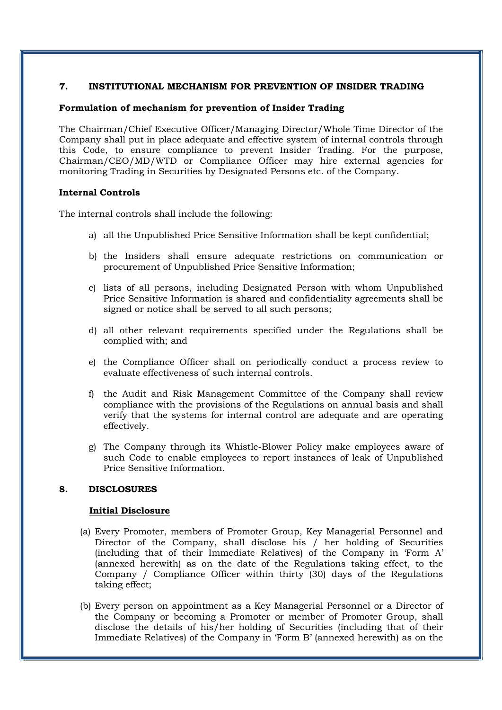#### 7. INSTITUTIONAL MECHANISM FOR PREVENTION OF INSIDER TRADING

#### Formulation of mechanism for prevention of Insider Trading

The Chairman/Chief Executive Officer/Managing Director/Whole Time Director of the Company shall put in place adequate and effective system of internal controls through this Code, to ensure compliance to prevent Insider Trading. For the purpose, Chairman/CEO/MD/WTD or Compliance Officer may hire external agencies for monitoring Trading in Securities by Designated Persons etc. of the Company.

#### Internal Controls

The internal controls shall include the following:

- a) all the Unpublished Price Sensitive Information shall be kept confidential;
- b) the Insiders shall ensure adequate restrictions on communication or procurement of Unpublished Price Sensitive Information;
- c) lists of all persons, including Designated Person with whom Unpublished Price Sensitive Information is shared and confidentiality agreements shall be signed or notice shall be served to all such persons;
- d) all other relevant requirements specified under the Regulations shall be complied with; and
- e) the Compliance Officer shall on periodically conduct a process review to evaluate effectiveness of such internal controls.
- f) the Audit and Risk Management Committee of the Company shall review compliance with the provisions of the Regulations on annual basis and shall verify that the systems for internal control are adequate and are operating effectively.
- g) The Company through its Whistle-Blower Policy make employees aware of such Code to enable employees to report instances of leak of Unpublished Price Sensitive Information.

#### 8. DISCLOSURES

#### Initial Disclosure

- (a) Every Promoter, members of Promoter Group, Key Managerial Personnel and Director of the Company, shall disclose his / her holding of Securities (including that of their Immediate Relatives) of the Company in 'Form A' (annexed herewith) as on the date of the Regulations taking effect, to the Company / Compliance Officer within thirty (30) days of the Regulations taking effect;
- (b) Every person on appointment as a Key Managerial Personnel or a Director of the Company or becoming a Promoter or member of Promoter Group, shall disclose the details of his/her holding of Securities (including that of their Immediate Relatives) of the Company in 'Form B' (annexed herewith) as on the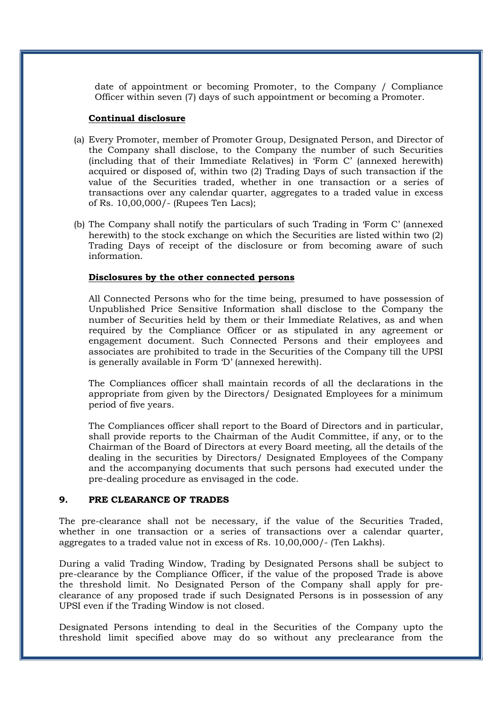date of appointment or becoming Promoter, to the Company / Compliance Officer within seven (7) days of such appointment or becoming a Promoter.

#### Continual disclosure

- (a) Every Promoter, member of Promoter Group, Designated Person, and Director of the Company shall disclose, to the Company the number of such Securities (including that of their Immediate Relatives) in 'Form C' (annexed herewith) acquired or disposed of, within two (2) Trading Days of such transaction if the value of the Securities traded, whether in one transaction or a series of transactions over any calendar quarter, aggregates to a traded value in excess of Rs. 10,00,000/- (Rupees Ten Lacs);
- (b) The Company shall notify the particulars of such Trading in 'Form C' (annexed herewith) to the stock exchange on which the Securities are listed within two (2) Trading Days of receipt of the disclosure or from becoming aware of such information.

#### Disclosures by the other connected persons

All Connected Persons who for the time being, presumed to have possession of Unpublished Price Sensitive Information shall disclose to the Company the number of Securities held by them or their Immediate Relatives, as and when required by the Compliance Officer or as stipulated in any agreement or engagement document. Such Connected Persons and their employees and associates are prohibited to trade in the Securities of the Company till the UPSI is generally available in Form 'D' (annexed herewith).

The Compliances officer shall maintain records of all the declarations in the appropriate from given by the Directors/ Designated Employees for a minimum period of five years.

The Compliances officer shall report to the Board of Directors and in particular, shall provide reports to the Chairman of the Audit Committee, if any, or to the Chairman of the Board of Directors at every Board meeting, all the details of the dealing in the securities by Directors/ Designated Employees of the Company and the accompanying documents that such persons had executed under the pre-dealing procedure as envisaged in the code.

#### 9. PRE CLEARANCE OF TRADES

The pre-clearance shall not be necessary, if the value of the Securities Traded, whether in one transaction or a series of transactions over a calendar quarter, aggregates to a traded value not in excess of Rs. 10,00,000/- (Ten Lakhs).

During a valid Trading Window, Trading by Designated Persons shall be subject to pre-clearance by the Compliance Officer, if the value of the proposed Trade is above the threshold limit. No Designated Person of the Company shall apply for preclearance of any proposed trade if such Designated Persons is in possession of any UPSI even if the Trading Window is not closed.

Designated Persons intending to deal in the Securities of the Company upto the threshold limit specified above may do so without any preclearance from the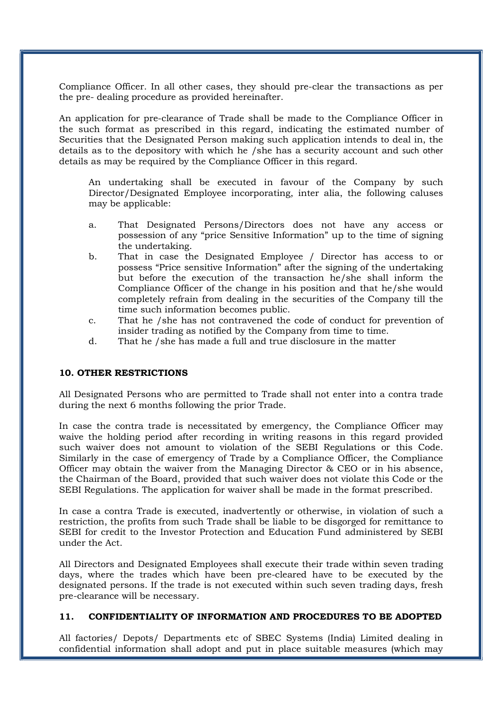Compliance Officer. In all other cases, they should pre-clear the transactions as per the pre- dealing procedure as provided hereinafter.

An application for pre-clearance of Trade shall be made to the Compliance Officer in the such format as prescribed in this regard, indicating the estimated number of Securities that the Designated Person making such application intends to deal in, the details as to the depository with which he /she has a security account and such other details as may be required by the Compliance Officer in this regard.

An undertaking shall be executed in favour of the Company by such Director/Designated Employee incorporating, inter alia, the following caluses may be applicable:

- a. That Designated Persons/Directors does not have any access or possession of any "price Sensitive Information" up to the time of signing the undertaking.
- b. That in case the Designated Employee / Director has access to or possess "Price sensitive Information" after the signing of the undertaking but before the execution of the transaction he/she shall inform the Compliance Officer of the change in his position and that he/she would completely refrain from dealing in the securities of the Company till the time such information becomes public.
- c. That he /she has not contravened the code of conduct for prevention of insider trading as notified by the Company from time to time.
- d. That he /she has made a full and true disclosure in the matter

#### 10. OTHER RESTRICTIONS

All Designated Persons who are permitted to Trade shall not enter into a contra trade during the next 6 months following the prior Trade.

In case the contra trade is necessitated by emergency, the Compliance Officer may waive the holding period after recording in writing reasons in this regard provided such waiver does not amount to violation of the SEBI Regulations or this Code. Similarly in the case of emergency of Trade by a Compliance Officer, the Compliance Officer may obtain the waiver from the Managing Director & CEO or in his absence, the Chairman of the Board, provided that such waiver does not violate this Code or the SEBI Regulations. The application for waiver shall be made in the format prescribed.

In case a contra Trade is executed, inadvertently or otherwise, in violation of such a restriction, the profits from such Trade shall be liable to be disgorged for remittance to SEBI for credit to the Investor Protection and Education Fund administered by SEBI under the Act.

All Directors and Designated Employees shall execute their trade within seven trading days, where the trades which have been pre-cleared have to be executed by the designated persons. If the trade is not executed within such seven trading days, fresh pre-clearance will be necessary.

#### 11. CONFIDENTIALITY OF INFORMATION AND PROCEDURES TO BE ADOPTED

All factories/ Depots/ Departments etc of SBEC Systems (India) Limited dealing in confidential information shall adopt and put in place suitable measures (which may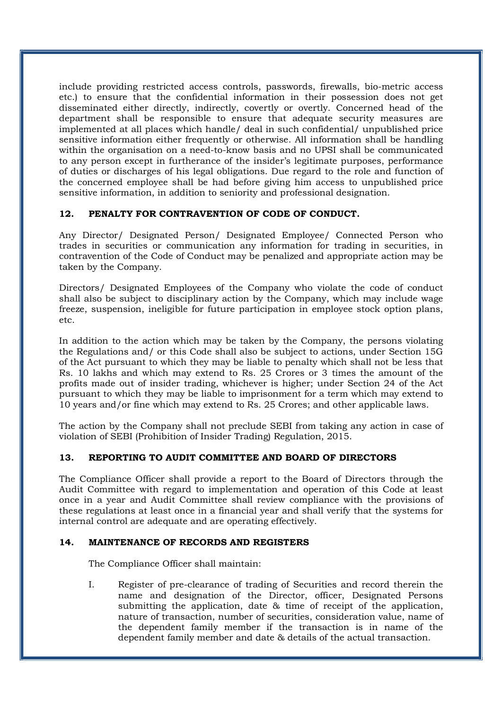include providing restricted access controls, passwords, firewalls, bio-metric access etc.) to ensure that the confidential information in their possession does not get disseminated either directly, indirectly, covertly or overtly. Concerned head of the department shall be responsible to ensure that adequate security measures are implemented at all places which handle/ deal in such confidential/ unpublished price sensitive information either frequently or otherwise. All information shall be handling within the organisation on a need-to-know basis and no UPSI shall be communicated to any person except in furtherance of the insider's legitimate purposes, performance of duties or discharges of his legal obligations. Due regard to the role and function of the concerned employee shall be had before giving him access to unpublished price sensitive information, in addition to seniority and professional designation.

#### 12. PENALTY FOR CONTRAVENTION OF CODE OF CONDUCT.

Any Director/ Designated Person/ Designated Employee/ Connected Person who trades in securities or communication any information for trading in securities, in contravention of the Code of Conduct may be penalized and appropriate action may be taken by the Company.

Directors/ Designated Employees of the Company who violate the code of conduct shall also be subject to disciplinary action by the Company, which may include wage freeze, suspension, ineligible for future participation in employee stock option plans, etc.

In addition to the action which may be taken by the Company, the persons violating the Regulations and/ or this Code shall also be subject to actions, under Section 15G of the Act pursuant to which they may be liable to penalty which shall not be less that Rs. 10 lakhs and which may extend to Rs. 25 Crores or 3 times the amount of the profits made out of insider trading, whichever is higher; under Section 24 of the Act pursuant to which they may be liable to imprisonment for a term which may extend to 10 years and/or fine which may extend to Rs. 25 Crores; and other applicable laws.

The action by the Company shall not preclude SEBI from taking any action in case of violation of SEBI (Prohibition of Insider Trading) Regulation, 2015.

#### 13. REPORTING TO AUDIT COMMITTEE AND BOARD OF DIRECTORS

The Compliance Officer shall provide a report to the Board of Directors through the Audit Committee with regard to implementation and operation of this Code at least once in a year and Audit Committee shall review compliance with the provisions of these regulations at least once in a financial year and shall verify that the systems for internal control are adequate and are operating effectively.

#### 14. MAINTENANCE OF RECORDS AND REGISTERS

The Compliance Officer shall maintain:

I. Register of pre-clearance of trading of Securities and record therein the name and designation of the Director, officer, Designated Persons submitting the application, date & time of receipt of the application, nature of transaction, number of securities, consideration value, name of the dependent family member if the transaction is in name of the dependent family member and date & details of the actual transaction.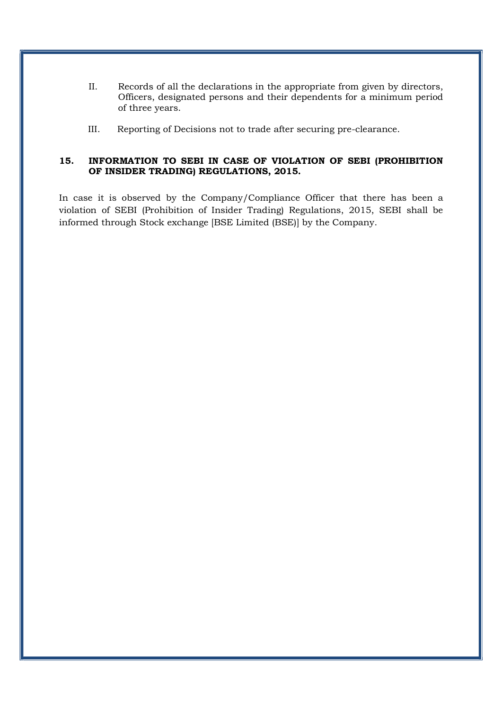- II. Records of all the declarations in the appropriate from given by directors, Officers, designated persons and their dependents for a minimum period of three years.
- III. Reporting of Decisions not to trade after securing pre-clearance.

#### 15. INFORMATION TO SEBI IN CASE OF VIOLATION OF SEBI (PROHIBITION OF INSIDER TRADING) REGULATIONS, 2015.

In case it is observed by the Company/Compliance Officer that there has been a violation of SEBI (Prohibition of Insider Trading) Regulations, 2015, SEBI shall be informed through Stock exchange [BSE Limited (BSE)] by the Company.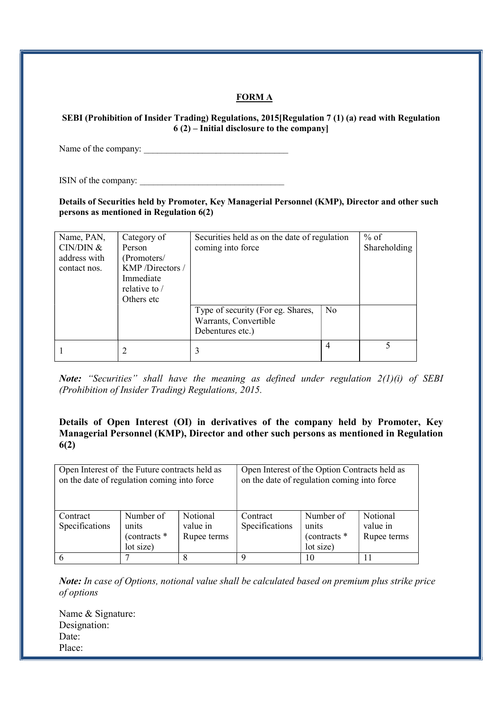#### FORM A

SEBI (Prohibition of Insider Trading) Regulations, 2015[Regulation 7 (1) (a) read with Regulation 6 (2) – Initial disclosure to the company]

Name of the company: \_\_\_\_\_\_\_\_\_\_\_\_\_\_\_\_\_\_\_\_\_\_\_\_\_\_\_\_\_\_\_\_

ISIN of the company:

Details of Securities held by Promoter, Key Managerial Personnel (KMP), Director and other such persons as mentioned in Regulation 6(2)

| Name, PAN,<br>CIN/DIN &<br>address with<br>contact nos. | Category of<br>Person<br>(Promoters/<br>KMP/Directors/<br>Immediate<br>relative to $/$<br>Others etc. | Securities held as on the date of regulation<br>coming into force<br>Type of security (For eg. Shares,<br>Warrants, Convertible<br>Debentures etc.) | N <sub>0</sub> | $%$ of<br>Shareholding |
|---------------------------------------------------------|-------------------------------------------------------------------------------------------------------|-----------------------------------------------------------------------------------------------------------------------------------------------------|----------------|------------------------|
|                                                         |                                                                                                       |                                                                                                                                                     | 4              |                        |

Note: "Securities" shall have the meaning as defined under regulation  $2(1)(i)$  of SEBI (Prohibition of Insider Trading) Regulations, 2015.

#### Details of Open Interest (OI) in derivatives of the company held by Promoter, Key Managerial Personnel (KMP), Director and other such persons as mentioned in Regulation 6(2)

| Open Interest of the Future contracts held as<br>on the date of regulation coming into force |                                                 |                                            | Open Interest of the Option Contracts held as<br>on the date of regulation coming into force |                                                   |                                     |  |
|----------------------------------------------------------------------------------------------|-------------------------------------------------|--------------------------------------------|----------------------------------------------------------------------------------------------|---------------------------------------------------|-------------------------------------|--|
| Contract<br>Specifications                                                                   | Number of<br>units<br>(contracts *<br>lot size) | <b>Notional</b><br>value in<br>Rupee terms | Contract<br>Specifications                                                                   | Number of<br>units<br>(contracts $*$<br>lot size) | Notional<br>value in<br>Rupee terms |  |
| 6                                                                                            |                                                 |                                            | 9                                                                                            | 10                                                |                                     |  |

Note: In case of Options, notional value shall be calculated based on premium plus strike price of options

Name & Signature: Designation: Date: Place: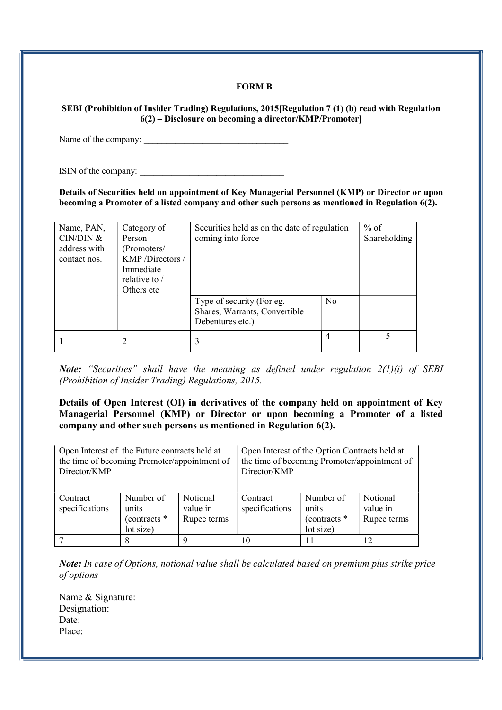#### FORM B

#### SEBI (Prohibition of Insider Trading) Regulations, 2015[Regulation 7 (1) (b) read with Regulation 6(2) – Disclosure on becoming a director/KMP/Promoter]

Name of the company: \_\_\_\_\_\_\_\_\_\_\_\_\_\_\_\_\_\_\_\_\_\_\_\_\_\_\_\_\_\_\_\_

ISIN of the company:

Details of Securities held on appointment of Key Managerial Personnel (KMP) or Director or upon becoming a Promoter of a listed company and other such persons as mentioned in Regulation 6(2).

| Name, PAN,   | Category of    | Securities held as on the date of regulation |                | $%$ of       |
|--------------|----------------|----------------------------------------------|----------------|--------------|
| CIN/DIN &    | Person         | coming into force                            |                | Shareholding |
| address with | (Promoters/    |                                              |                |              |
| contact nos. | KMP/Directors/ |                                              |                |              |
|              | Immediate      |                                              |                |              |
|              | relative to /  |                                              |                |              |
|              | Others etc     |                                              |                |              |
|              |                | Type of security (For eg. $-$                | N <sub>0</sub> |              |
|              |                | Shares, Warrants, Convertible                |                |              |
|              |                | Debentures etc.)                             |                |              |
|              |                |                                              | 4              |              |
|              |                |                                              |                |              |

Note: "Securities" shall have the meaning as defined under regulation  $2(1)(i)$  of SEBI (Prohibition of Insider Trading) Regulations, 2015.

Details of Open Interest (OI) in derivatives of the company held on appointment of Key Managerial Personnel (KMP) or Director or upon becoming a Promoter of a listed company and other such persons as mentioned in Regulation 6(2).

| Open Interest of the Future contracts held at<br>the time of becoming Promoter/appointment of<br>Director/KMP |                                                 |                                     | Open Interest of the Option Contracts held at<br>the time of becoming Promoter/appointment of<br>Director/KMP |                                                   |                                     |  |
|---------------------------------------------------------------------------------------------------------------|-------------------------------------------------|-------------------------------------|---------------------------------------------------------------------------------------------------------------|---------------------------------------------------|-------------------------------------|--|
| Contract<br>specifications                                                                                    | Number of<br>units<br>(contracts *<br>lot size) | Notional<br>value in<br>Rupee terms | Contract<br>specifications                                                                                    | Number of<br>units<br>(contracts $*$<br>lot size) | Notional<br>value in<br>Rupee terms |  |
|                                                                                                               |                                                 | q                                   | 10                                                                                                            |                                                   | 12                                  |  |

Note: In case of Options, notional value shall be calculated based on premium plus strike price of options

Name & Signature: Designation: Date: Place: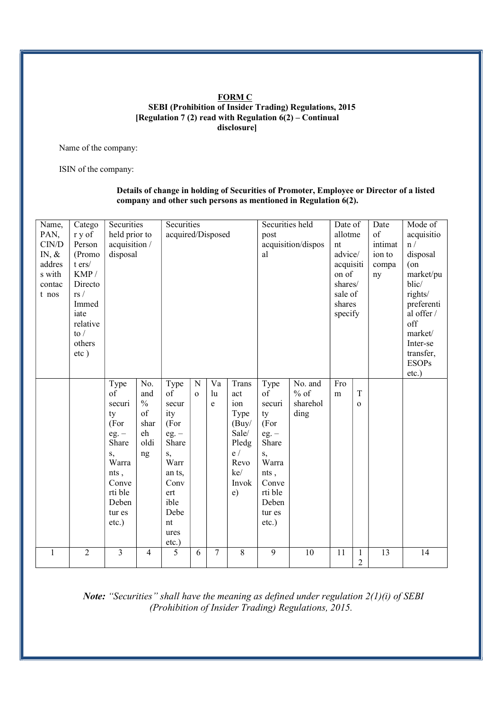#### FORM C SEBI (Prohibition of Insider Trading) Regulations, 2015 [Regulation 7 (2) read with Regulation  $6(2)$  – Continual disclosure]

Name of the company:

ISIN of the company:

#### Details of change in holding of Securities of Promoter, Employee or Director of a listed company and other such persons as mentioned in Regulation 6(2).

| Name,        | Catego         | Securities     |                | Securities        |              |                          |                | Securities held<br>Date of |                          | Date      | Mode of        |            |              |
|--------------|----------------|----------------|----------------|-------------------|--------------|--------------------------|----------------|----------------------------|--------------------------|-----------|----------------|------------|--------------|
| PAN,         | r y of         | held prior to  |                | acquired/Disposed |              |                          |                | post                       | allotme                  |           | of             | acquisitio |              |
| CIN/D        | Person         | acquisition /  |                |                   |              |                          |                |                            | acquisition/dispos<br>nt |           | intimat        | n /        |              |
| $IN, \&$     | (Promo         | disposal       |                |                   |              |                          |                | al                         |                          | advice/   |                | ion to     | disposal     |
| addres       | $t$ ers $/$    |                |                |                   |              |                          |                |                            |                          | acquisiti |                | compa      | $($ on       |
| s with       | KMP/           |                |                |                   |              |                          |                |                            |                          | on of     |                | ny         | market/pu    |
| contac       | Directo        |                |                |                   |              |                          |                |                            |                          | shares/   |                |            | blic/        |
| t nos        | rs/            |                |                |                   |              |                          |                |                            |                          | sale of   |                |            | rights/      |
|              | Immed          |                |                |                   |              |                          |                |                            |                          | shares    |                |            | preferenti   |
|              | iate           |                |                |                   |              |                          |                |                            |                          | specify   |                |            | al offer /   |
|              | relative       |                |                |                   |              |                          |                |                            |                          |           |                |            | off          |
|              | to $/$         |                |                |                   |              |                          |                |                            |                          |           |                |            | market/      |
|              | others         |                |                |                   |              |                          |                |                            |                          |           |                |            | Inter-se     |
|              | $etc$ )        |                |                |                   |              |                          |                |                            |                          |           |                |            | transfer,    |
|              |                |                |                |                   |              |                          |                |                            |                          |           |                |            | <b>ESOPs</b> |
|              |                |                |                |                   |              |                          |                |                            |                          |           |                |            | $etc.$ )     |
|              |                | Type           | No.            | Type              | ${\bf N}$    | $\overline{\mathrm{Va}}$ | Trans          | Type                       | No. and                  | Fro       |                |            |              |
|              |                | of             | and            | of                | $\mathbf{o}$ | lu                       | act            | of                         | $%$ of                   | m         | T              |            |              |
|              |                | securi         | $\frac{0}{0}$  | secur             |              | e                        | ion            | securi                     | sharehol                 |           | $\mathbf{o}$   |            |              |
|              |                | ty             | of             | ity               |              |                          | Type           | ty                         | ding                     |           |                |            |              |
|              |                | (For           | shar           | (For              |              |                          | (Buy/          | (For                       |                          |           |                |            |              |
|              |                | $eg. -$        | eh             | $eg. -$           |              |                          | Sale/          | $eg. -$                    |                          |           |                |            |              |
|              |                | Share          | oldi           | Share             |              |                          | Pledg          | Share                      |                          |           |                |            |              |
|              |                | S,             | ng             | S,                |              |                          | e/             | $S_{\star}$                |                          |           |                |            |              |
|              |                | Warra          |                | Warr              |              |                          | Revo           | Warra                      |                          |           |                |            |              |
|              |                | nts,           |                | an ts,            |              |                          | ke/            | nts,                       |                          |           |                |            |              |
|              |                | Conve          |                | Conv              |              |                          | Invok          | Conve                      |                          |           |                |            |              |
|              |                | rti ble        |                | ert               |              |                          | $\epsilon$ )   | rti ble                    |                          |           |                |            |              |
|              |                | Deben          |                | ible              |              |                          |                | Deben                      |                          |           |                |            |              |
|              |                | tur es         |                | Debe              |              |                          |                | tur es                     |                          |           |                |            |              |
|              |                | $etc.$ )       |                | nt                |              |                          |                | $etc.$ )                   |                          |           |                |            |              |
|              |                |                |                | ures              |              |                          |                |                            |                          |           |                |            |              |
|              |                |                |                | etc.)             |              |                          |                |                            |                          |           |                |            |              |
| $\mathbf{1}$ | $\overline{2}$ | $\overline{3}$ | $\overline{4}$ | $\overline{5}$    | 6            | $\overline{7}$           | $\overline{8}$ | $\overline{9}$             | 10                       | 11        | 1              | 13         | 14           |
|              |                |                |                |                   |              |                          |                |                            |                          |           | $\overline{2}$ |            |              |

Note: "Securities" shall have the meaning as defined under regulation  $2(1)(i)$  of SEBI (Prohibition of Insider Trading) Regulations, 2015.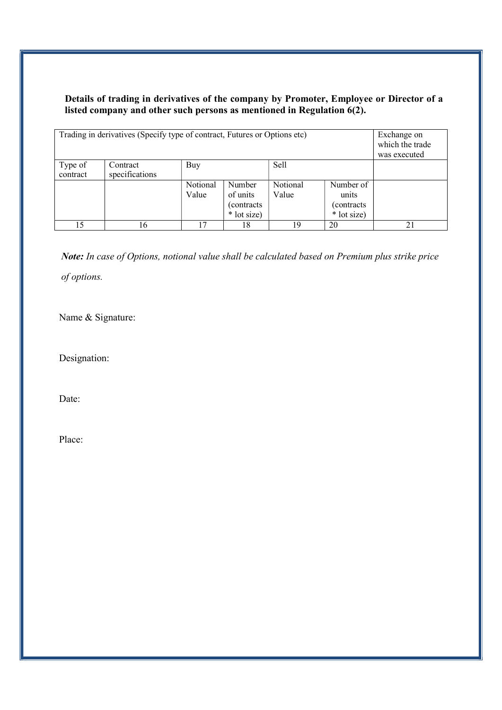#### Details of trading in derivatives of the company by Promoter, Employee or Director of a listed company and other such persons as mentioned in Regulation 6(2).

| Trading in derivatives (Specify type of contract, Futures or Options etc) | Exchange on<br>which the trade<br>was executed |                    |          |          |           |    |
|---------------------------------------------------------------------------|------------------------------------------------|--------------------|----------|----------|-----------|----|
| Type of<br>contract                                                       | Contract<br>specifications                     | Buy                |          |          |           |    |
|                                                                           |                                                |                    |          |          |           |    |
|                                                                           |                                                | Number<br>Notional |          | Notional | Number of |    |
|                                                                           |                                                | Value              | of units | Value    | units     |    |
|                                                                           |                                                |                    |          |          |           |    |
|                                                                           |                                                |                    |          |          |           |    |
| 15                                                                        | 16                                             | 17                 | 18       | 19       | 20        | 21 |

Note: In case of Options, notional value shall be calculated based on Premium plus strike price of options.

Name & Signature:

Designation:

Date:

Place: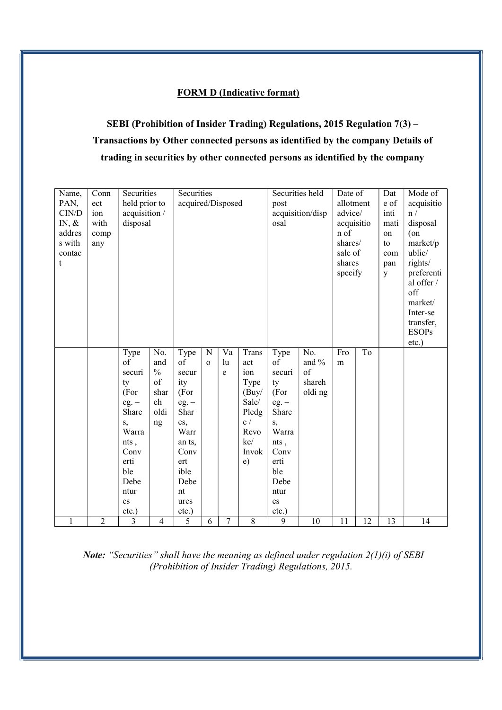#### FORM D (Indicative format)

### SEBI (Prohibition of Insider Trading) Regulations, 2015 Regulation 7(3) – Transactions by Other connected persons as identified by the company Details of trading in securities by other connected persons as identified by the company

| Name,        | Conn           | Securities       |                     | Securities        |              |                |                | Securities held |                             | Date of    |      | Dat  | Mode of      |
|--------------|----------------|------------------|---------------------|-------------------|--------------|----------------|----------------|-----------------|-----------------------------|------------|------|------|--------------|
| PAN,         | ect            | held prior to    |                     | acquired/Disposed |              |                |                | post            |                             | allotment  |      | e of | acquisitio   |
| CIN/D        | ion            | acquisition /    |                     |                   |              |                |                |                 | acquisition/disp<br>advice/ |            | inti | n /  |              |
| IN, $\&$     | with           | disposal         |                     |                   |              |                |                | osal            |                             | acquisitio |      | mati | disposal     |
| addres       | comp           |                  |                     |                   |              |                |                |                 |                             | n of       |      | on   | $($ on       |
| s with       | any            |                  |                     |                   |              |                |                |                 |                             | shares/    |      | to   | market/p     |
| contac       |                |                  |                     |                   |              |                |                |                 |                             | sale of    |      | com  | ublic/       |
| t            |                |                  |                     |                   |              |                |                |                 |                             | shares     |      | pan  | rights/      |
|              |                |                  |                     |                   |              |                |                |                 |                             | specify    |      | y    | preferenti   |
|              |                |                  |                     |                   |              |                |                |                 |                             |            |      |      | al offer /   |
|              |                |                  |                     |                   |              |                |                |                 |                             |            |      |      | off          |
|              |                |                  |                     |                   |              |                |                |                 |                             |            |      |      | market/      |
|              |                |                  |                     |                   |              |                |                |                 |                             |            |      |      | Inter-se     |
|              |                |                  |                     |                   |              |                |                |                 |                             |            |      |      | transfer,    |
|              |                |                  |                     |                   |              |                |                |                 |                             |            |      |      | <b>ESOPs</b> |
|              |                |                  |                     |                   |              |                |                |                 |                             |            |      |      | etc.)        |
|              |                | Type             | No.                 | Type              | $\mathbf N$  | Va             | Trans          | Type            | No.                         | Fro        | To   |      |              |
|              |                | of               | and                 | of                | $\mathbf{o}$ | lu             | act            | of              | and $%$                     | m          |      |      |              |
|              |                | securi           | $\frac{0}{0}$<br>of | secur             |              | e              | ion            | securi          | of                          |            |      |      |              |
|              |                | ty<br>(For       | shar                | ity               |              |                | Type           | ty              | shareh                      |            |      |      |              |
|              |                |                  | eh                  | (For              |              |                | (Buy/<br>Sale/ | (For            | oldi ng                     |            |      |      |              |
|              |                | $eg. -$<br>Share | oldi                | $eg. -$<br>Shar   |              |                |                | $eg. -$         |                             |            |      |      |              |
|              |                |                  |                     |                   |              |                | Pledg<br>e/    | Share           |                             |            |      |      |              |
|              |                | s,<br>Warra      | ng                  | es,<br>Warr       |              |                | Revo           | s,<br>Warra     |                             |            |      |      |              |
|              |                | nts,             |                     | an ts,            |              |                | ke/            | nts,            |                             |            |      |      |              |
|              |                | Conv             |                     | Conv              |              |                | Invok          | Conv            |                             |            |      |      |              |
|              |                | erti             |                     | ert               |              |                | $\epsilon$ )   | erti            |                             |            |      |      |              |
|              |                | ble              |                     | ible              |              |                |                | ble             |                             |            |      |      |              |
|              |                | Debe             |                     | Debe              |              |                |                | Debe            |                             |            |      |      |              |
|              |                | ntur             |                     | nt                |              |                |                | ntur            |                             |            |      |      |              |
|              |                | es               |                     | ures              |              |                |                | es              |                             |            |      |      |              |
|              |                | etc.)            |                     | etc.)             |              |                |                | etc.)           |                             |            |      |      |              |
| $\mathbf{1}$ | $\overline{2}$ | $\overline{3}$   | $\overline{4}$      | $\overline{5}$    | 6            | $\overline{7}$ | $\overline{8}$ | $\overline{9}$  | 10                          | 11         | 12   | 13   | 14           |

Note: "Securities" shall have the meaning as defined under regulation  $2(1)(i)$  of SEBI (Prohibition of Insider Trading) Regulations, 2015.